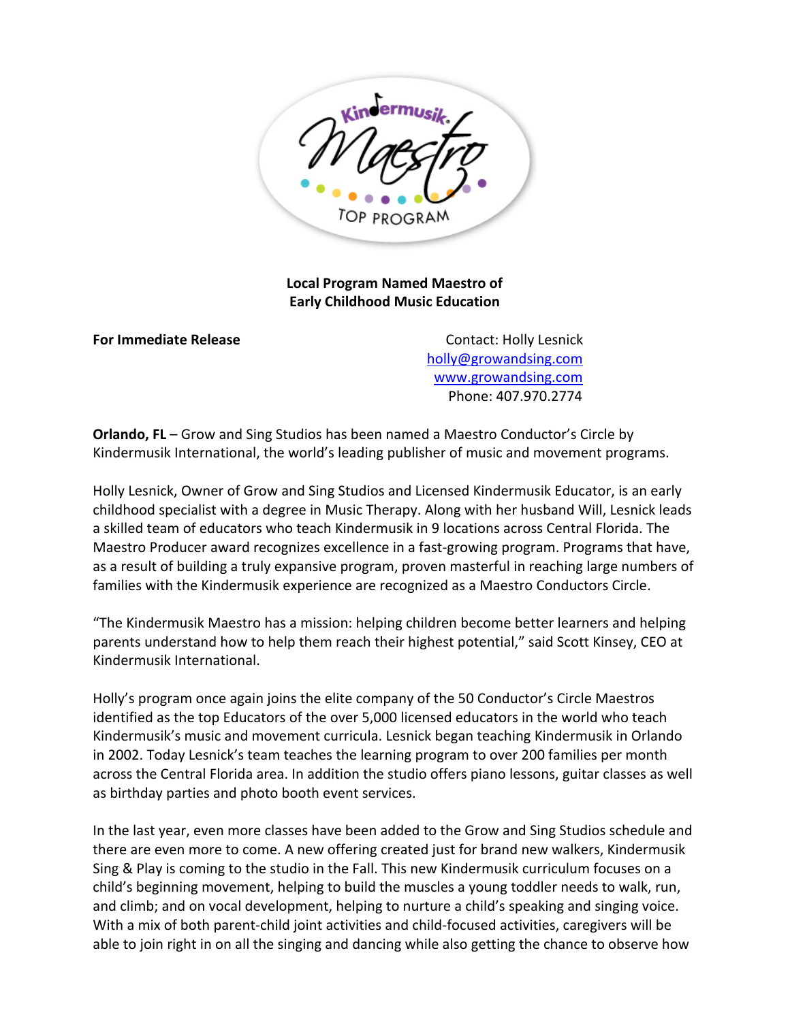

**Local Program Named Maestro of Early Childhood Music Education** 

**For Immediate Release Contact: Holly Lesnick**  [holly@growandsing.com](mailto:holly@growandsing.com)  [www.growandsing.com](http://www.growandsing.com/)  Phone: 407.970.2774

**Orlando, FL** – Grow and Sing Studios has been named a Maestro Conductor's Circle by Kindermusik International, the world's leading publisher of music and movement programs.

Holly Lesnick, Owner of Grow and Sing Studios and Licensed Kindermusik Educator, is an early childhood specialist with a degree in Music Therapy. Along with her husband Will, Lesnick leads a skilled team of educators who teach Kindermusik in 9 locations across Central Florida. The Maestro Producer award recognizes excellence in a fast-growing program. Programs that have, as a result of building a truly expansive program, proven masterful in reaching large numbers of families with the Kindermusik experience are recognized as a Maestro Conductors Circle.

"The Kindermusik Maestro has a mission: helping children become better learners and helping parents understand how to help them reach their highest potential," said Scott Kinsey, CEO at Kindermusik International.

Holly's program once again joins the elite company of the 50 Conductor's Circle Maestros identified as the top Educators of the over 5,000 licensed educators in the world who teach Kindermusik's music and movement curricula. Lesnick began teaching Kindermusik in Orlando in 2002. Today Lesnick's team teaches the learning program to over 200 families per month across the Central Florida area. In addition the studio offers piano lessons, guitar classes as well as birthday parties and photo booth event services.

In the last year, even more classes have been added to the Grow and Sing Studios schedule and there are even more to come. A new offering created just for brand new walkers, Kindermusik Sing & Play is coming to the studio in the Fall. This new Kindermusik curriculum focuses on a child's beginning movement, helping to build the muscles a young toddler needs to walk, run, and climb; and on vocal development, helping to nurture a child's speaking and singing voice. With a mix of both parent-child joint activities and child-focused activities, caregivers will be able to join right in on all the singing and dancing while also getting the chance to observe how